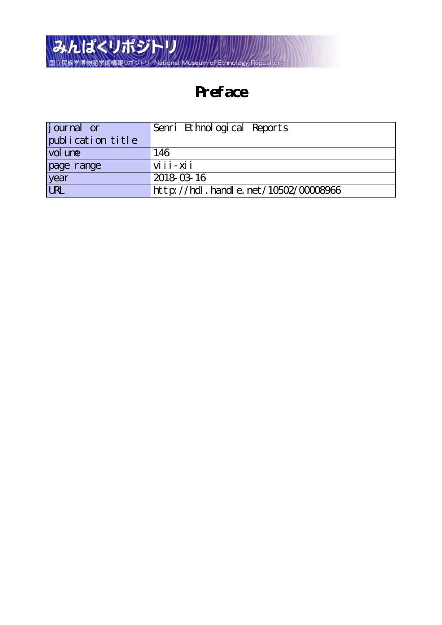

## **Preface**

| j ournal or       | Senri Ethnological Reports           |
|-------------------|--------------------------------------|
| publication title |                                      |
| vol une           | 146                                  |
| page range        | $vi$ i $i - xi$ i                    |
| year<br>URL       | 2018-03-16                           |
|                   | http://hdl.handle.net/10502/00008966 |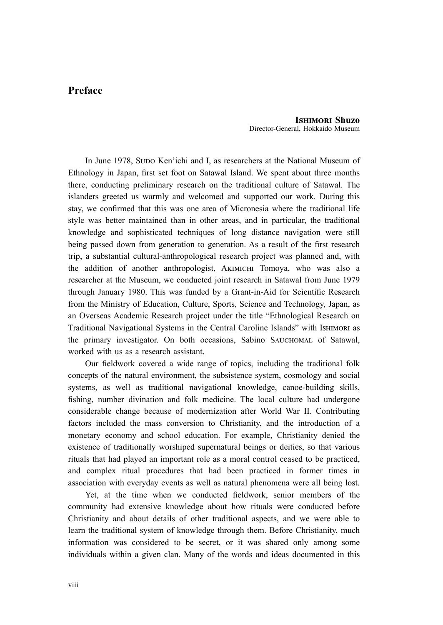## **Preface**

**Ishimori Shuzo** Director-General, Hokkaido Museum

In June 1978, Supo Ken'ichi and I, as researchers at the National Museum of Ethnology in Japan, first set foot on Satawal Island. We spent about three months there, conducting preliminary research on the traditional culture of Satawal. The islanders greeted us warmly and welcomed and supported our work. During this stay, we confirmed that this was one area of Micronesia where the traditional life style was better maintained than in other areas, and in particular, the traditional knowledge and sophisticated techniques of long distance navigation were still being passed down from generation to generation. As a result of the first research trip, a substantial cultural-anthropological research project was planned and, with the addition of another anthropologist, Akimichi Tomoya, who was also a researcher at the Museum, we conducted joint research in Satawal from June 1979 through January 1980. This was funded by a Grant-in-Aid for Scientific Research from the Ministry of Education, Culture, Sports, Science and Technology, Japan, as an Overseas Academic Research project under the title "Ethnological Research on Traditional Navigational Systems in the Central Caroline Islands" with Ishimori as the primary investigator. On both occasions, Sabino Sauchomal of Satawal, worked with us as a research assistant.

Our fieldwork covered a wide range of topics, including the traditional folk concepts of the natural environment, the subsistence system, cosmology and social systems, as well as traditional navigational knowledge, canoe-building skills, fishing, number divination and folk medicine. The local culture had undergone considerable change because of modernization after World War II. Contributing factors included the mass conversion to Christianity, and the introduction of a monetary economy and school education. For example, Christianity denied the existence of traditionally worshiped supernatural beings or deities, so that various rituals that had played an important role as a moral control ceased to be practiced, and complex ritual procedures that had been practiced in former times in association with everyday events as well as natural phenomena were all being lost.

Yet, at the time when we conducted fieldwork, senior members of the community had extensive knowledge about how rituals were conducted before Christianity and about details of other traditional aspects, and we were able to learn the traditional system of knowledge through them. Before Christianity, much information was considered to be secret, or it was shared only among some individuals within a given clan. Many of the words and ideas documented in this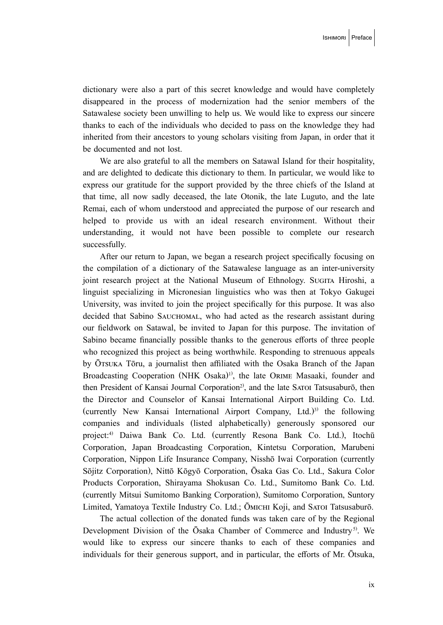dictionary were also a part of this secret knowledge and would have completely disappeared in the process of modernization had the senior members of the Satawalese society been unwilling to help us. We would like to express our sincere thanks to each of the individuals who decided to pass on the knowledge they had inherited from their ancestors to young scholars visiting from Japan, in order that it be documented and not lost.

We are also grateful to all the members on Satawal Island for their hospitality, and are delighted to dedicate this dictionary to them. In particular, we would like to express our gratitude for the support provided by the three chiefs of the Island at that time, all now sadly deceased, the late Otonik, the late Luguto, and the late Remai, each of whom understood and appreciated the purpose of our research and helped to provide us with an ideal research environment. Without their understanding, it would not have been possible to complete our research successfully.

After our return to Japan, we began a research project specifically focusing on the compilation of a dictionary of the Satawalese language as an inter-university joint research project at the National Museum of Ethnology. Sugita Hiroshi, a linguist specializing in Micronesian linguistics who was then at Tokyo Gakugei University, was invited to join the project specifically for this purpose. It was also decided that Sabino SAUCHOMAL, who had acted as the research assistant during our fieldwork on Satawal, be invited to Japan for this purpose. The invitation of Sabino became financially possible thanks to the generous efforts of three people who recognized this project as being worthwhile. Responding to strenuous appeals by  $\overline{O}$ Tsuka Tōru, a journalist then affiliated with the Osaka Branch of the Japan Broadcasting Cooperation (NHK Osaka)<sup>1)</sup>, the late ORIME Masaaki, founder and then President of Kansai Journal Corporation<sup>2</sup>, and the late SATOI Tatsusaburō, then the Director and Counselor of Kansai International Airport Building Co. Ltd. (currently New Kansai International Airport Company, Ltd.)<sup>3)</sup> the following companies and individuals (listed alphabetically) generously sponsored our project:<sup>4)</sup> Daiwa Bank Co. Ltd. (currently Resona Bank Co. Ltd.), Itochū Corporation, Japan Broadcasting Corporation, Kintetsu Corporation, Marubeni Corporation, Nippon Life Insurance Company, Nisshō Iwai Corporation (currently Sōjitz Corporation), Nittō Kōgyō Corporation, Ōsaka Gas Co. Ltd., Sakura Color Products Corporation, Shirayama Shokusan Co. Ltd., Sumitomo Bank Co. Ltd. (currently Mitsui Sumitomo Banking Corporation), Sumitomo Corporation, Suntory Limited, Yamatoya Textile Industry Co. Ltd.; Ōmichi Koji, and Satoi Tatsusaburō.

The actual collection of the donated funds was taken care of by the Regional Development Division of the Ōsaka Chamber of Commerce and Industry<sup>5)</sup>. We would like to express our sincere thanks to each of these companies and individuals for their generous support, and in particular, the efforts of Mr. Ōtsuka,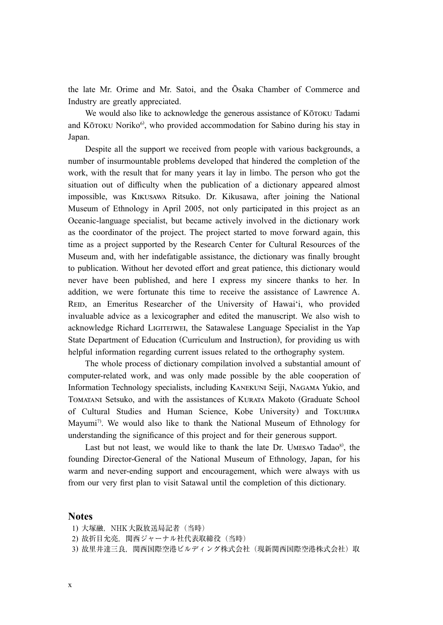the late Mr. Orime and Mr. Satoi, and the Ōsaka Chamber of Commerce and Industry are greatly appreciated.

We would also like to acknowledge the generous assistance of KōTOKU Tadami and Kōtoku Noriko<sup>6)</sup>, who provided accommodation for Sabino during his stay in Japan.

Despite all the support we received from people with various backgrounds, a number of insurmountable problems developed that hindered the completion of the work, with the result that for many years it lay in limbo. The person who got the situation out of difficulty when the publication of a dictionary appeared almost impossible, was Kikusawa Ritsuko. Dr. Kikusawa, after joining the National Museum of Ethnology in April 2005, not only participated in this project as an Oceanic-language specialist, but became actively involved in the dictionary work as the coordinator of the project. The project started to move forward again, this time as a project supported by the Research Center for Cultural Resources of the Museum and, with her indefatigable assistance, the dictionary was finally brought to publication. Without her devoted effort and great patience, this dictionary would never have been published, and here I express my sincere thanks to her. In addition, we were fortunate this time to receive the assistance of Lawrence A. REID, an Emeritus Researcher of the University of Hawai'i, who provided invaluable advice as a lexicographer and edited the manuscript. We also wish to acknowledge Richard LIGITEIWEI, the Satawalese Language Specialist in the Yap State Department of Education (Curriculum and Instruction), for providing us with helpful information regarding current issues related to the orthography system.

The whole process of dictionary compilation involved a substantial amount of computer-related work, and was only made possible by the able cooperation of Information Technology specialists, including Kanekuni Seiji, Nagama Yukio, and Tomatani Setsuko, and with the assistances of Kurata Makoto (Graduate School of Cultural Studies and Human Science, Kobe University) and Tokuhira Mayumi<sup>7)</sup>. We would also like to thank the National Museum of Ethnology for understanding the significance of this project and for their generous support.

Last but not least, we would like to thank the late Dr. UMESAO Tadao<sup>8</sup>, the founding Director-General of the National Museum of Ethnology, Japan, for his warm and never-ending support and encouragement, which were always with us from our very first plan to visit Satawal until the completion of this dictionary.

## **Notes**

- 1) 大塚融, NHK大阪放送局記者 (当時)
- 2) 故折目允亮, 関西ジャーナル社代表取締役(当時)
- 3) 故里井達三良, 関西国際空港ビルディング株式会社(現新関西国際空港株式会社)取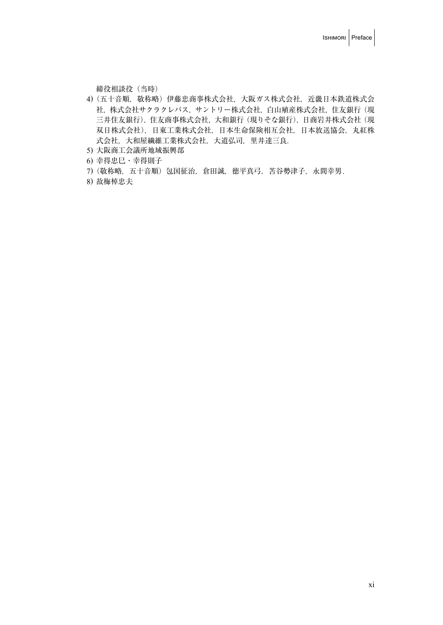締役相談役(当時)

- 4) (五十音順, 敬称略) 伊藤忠商事株式会社, 大阪ガス株式会社, 近畿日本鉄道株式会 社, 株式会社サクラクレパス, サントリー株式会社, 白山殖産株式会社, 住友銀行 (現 三井住友銀行),住友商事株式会社,大和銀行(現りそな銀行),日商岩井株式会社(現 双日株式会社),日東工業株式会社,日本生命保険相互会社,日本放送協会,丸紅株 式会社,大和屋繊維工業株式会社,大道弘司,里井達三良.
- 5) 大阪商工会議所地域振興部
- 6) 幸得忠巳・幸得則子
- 7) (敬称略,五十音順) 包国征治, 倉田誠, 徳平真弓, 苫谷勢津子, 永間幸男.
- 8) 故梅棹忠夫